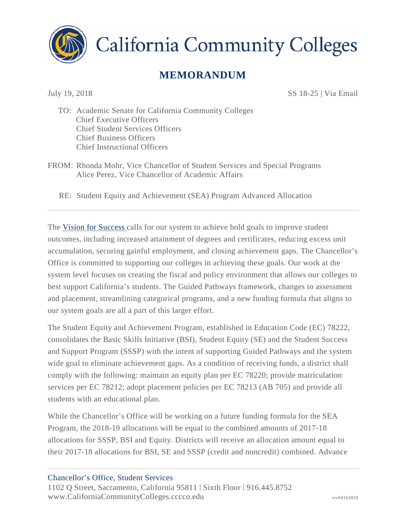

**California Community Colleges** 

## **MEMORANDUM**

July 19, 2018 SS 18-25 | Via Email

TO: Academic Senate for California Community Colleges Chief Executive Officers Chief Student Services Officers Chief Business Officers Chief Instructional Officers

FROM: Rhonda Mohr, Vice Chancellor of Student Services and Special Programs Alice Perez, Vice Chancellor of Academic Affairs

RE: Student Equity and Achievement (SEA) Program Advanced Allocation

The [Vision for Success c](http://californiacommunitycolleges.cccco.edu/Portals/0/Reports/vision-for-success.pdf)alls for our system to achieve bold goals to improve student outcomes, including increased attainment of degrees and certificates, reducing excess unit accumulation, securing gainful employment, and closing achievement gaps. The Chancellor's Office is committed to supporting our colleges in achieving these goals. Our work at the system level focuses on creating the fiscal and policy environment that allows our colleges to best support California's students. The Guided Pathways framework, changes to assessment and placement, streamlining categorical programs, and a new funding formula that aligns to our system goals are all a part of this larger effort.

The Student Equity and Achievement Program, established in Education Code (EC) 78222, consolidates the Basic Skills Initiative (BSI), Student Equity (SE) and the Student Success and Support Program (SSSP) with the intent of supporting Guided Pathways and the system wide goal to eliminate achievement gaps. As a condition of receiving funds, a district shall comply with the following: maintain an equity plan per EC 78220; provide matriculation services per EC 78212; adopt placement policies per EC 78213 (AB 705) and provide all students with an educational plan.

While the Chancellor's Office will be working on a future funding formula for the SEA Program, the 2018-19 allocations will be equal to the combined amounts of 2017-18 allocations for SSSP, BSI and Equity. Districts will receive an allocation amount equal to their 2017-18 allocations for BSI, SE and SSSP (credit and noncredit) combined. Advance

## Chancellor's Office, Student Services

1102 Q Street, Sacramento, California 95811 | Sixth Floor | 916.445.8752 [www.CaliforniaCommunityColleges.cccco.edu](http://www.californiacommunitycolleges.cccco.edu/) rev04162018